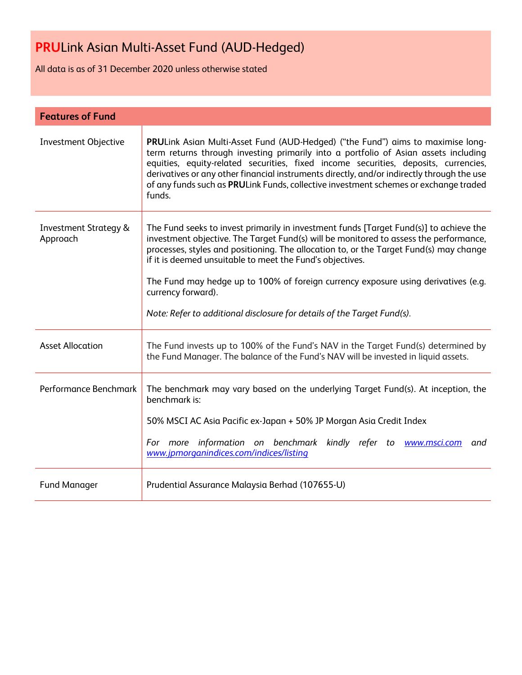All data is as of 31 December 2020 unless otherwise stated

| <b>Features of Fund</b>                      |                                                                                                                                                                                                                                                                                                                                                                                                                                                                                                                               |
|----------------------------------------------|-------------------------------------------------------------------------------------------------------------------------------------------------------------------------------------------------------------------------------------------------------------------------------------------------------------------------------------------------------------------------------------------------------------------------------------------------------------------------------------------------------------------------------|
| <b>Investment Objective</b>                  | PRULink Asian Multi-Asset Fund (AUD-Hedged) ("the Fund") aims to maximise long-<br>term returns through investing primarily into a portfolio of Asian assets including<br>equities, equity-related securities, fixed income securities, deposits, currencies,<br>derivatives or any other financial instruments directly, and/or indirectly through the use<br>of any funds such as PRULink Funds, collective investment schemes or exchange traded<br>funds.                                                                 |
| <b>Investment Strategy &amp;</b><br>Approach | The Fund seeks to invest primarily in investment funds [Target Fund(s)] to achieve the<br>investment objective. The Target Fund(s) will be monitored to assess the performance,<br>processes, styles and positioning. The allocation to, or the Target Fund(s) may change<br>if it is deemed unsuitable to meet the Fund's objectives.<br>The Fund may hedge up to 100% of foreign currency exposure using derivatives (e.g.<br>currency forward).<br>Note: Refer to additional disclosure for details of the Target Fund(s). |
| <b>Asset Allocation</b>                      | The Fund invests up to 100% of the Fund's NAV in the Target Fund(s) determined by<br>the Fund Manager. The balance of the Fund's NAV will be invested in liquid assets.                                                                                                                                                                                                                                                                                                                                                       |
| Performance Benchmark                        | The benchmark may vary based on the underlying Target Fund(s). At inception, the<br>benchmark is:<br>50% MSCI AC Asia Pacific ex-Japan + 50% JP Morgan Asia Credit Index<br>For more information on benchmark kindly refer to www.msci.com and<br>www.jpmorganindices.com/indices/listing                                                                                                                                                                                                                                     |
| <b>Fund Manager</b>                          | Prudential Assurance Malaysia Berhad (107655-U)                                                                                                                                                                                                                                                                                                                                                                                                                                                                               |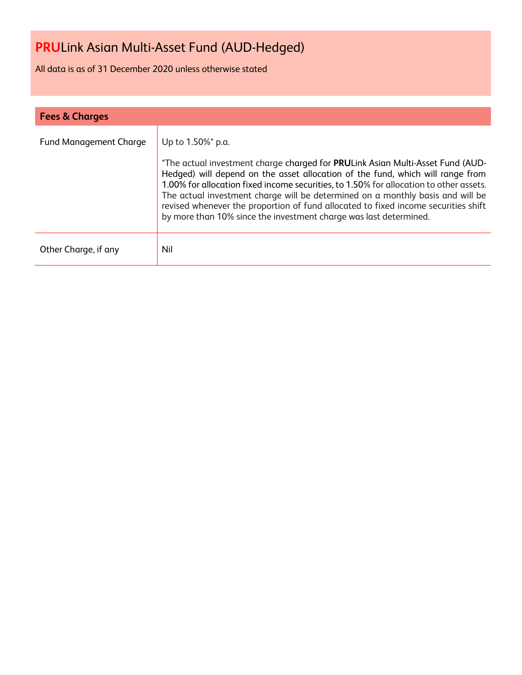All data is as of 31 December 2020 unless otherwise stated

| <b>Fees &amp; Charges</b>     |                                                                                                                                                                                                                                                                                                                                                                                                                                                                                                                              |
|-------------------------------|------------------------------------------------------------------------------------------------------------------------------------------------------------------------------------------------------------------------------------------------------------------------------------------------------------------------------------------------------------------------------------------------------------------------------------------------------------------------------------------------------------------------------|
| <b>Fund Management Charge</b> | Up to 1.50%* p.a.<br>*The actual investment charge charged for PRULink Asian Multi-Asset Fund (AUD-<br>Hedged) will depend on the asset allocation of the fund, which will range from<br>1.00% for allocation fixed income securities, to 1.50% for allocation to other assets.<br>The actual investment charge will be determined on a monthly basis and will be<br>revised whenever the proportion of fund allocated to fixed income securities shift<br>by more than 10% since the investment charge was last determined. |
| Other Charge, if any          | Nil                                                                                                                                                                                                                                                                                                                                                                                                                                                                                                                          |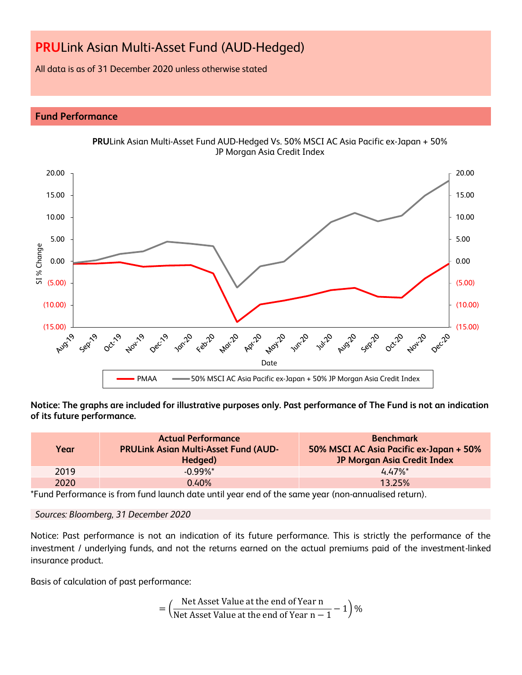All data is as of 31 December 2020 unless otherwise stated

# **Fund Performance**



**PRU**Link Asian Multi-Asset Fund AUD-Hedged Vs. 50% MSCI AC Asia Pacific ex-Japan + 50% JP Morgan Asia Credit Index

**Notice: The graphs are included for illustrative purposes only. Past performance of The Fund is not an indication of its future performance.**

| Year | <b>Actual Performance</b><br><b>PRULink Asian Multi-Asset Fund (AUD-</b><br>Hedged) | <b>Benchmark</b><br>50% MSCI AC Asia Pacific ex-Japan + 50%<br><b>JP Morgan Asia Credit Index</b> |
|------|-------------------------------------------------------------------------------------|---------------------------------------------------------------------------------------------------|
| 2019 | $-0.99\%$ *                                                                         | $4.47\%$ <sup>*</sup>                                                                             |
| 2020 | 0.40%                                                                               | 13.25%                                                                                            |

\*Fund Performance is from fund launch date until year end of the same year (non-annualised return).

*Sources: Bloomberg, 31 December 2020*

Notice: Past performance is not an indication of its future performance. This is strictly the performance of the investment / underlying funds, and not the returns earned on the actual premiums paid of the investment-linked insurance product.

Basis of calculation of past performance:

$$
= \left(\frac{\text{Net Asset Value at the end of Year n}}{\text{Net Asset Value at the end of Year n} - 1}\right)\%
$$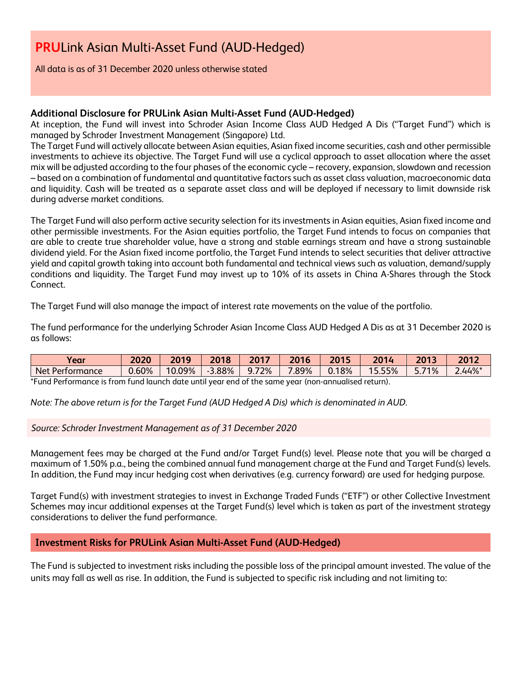All data is as of 31 December 2020 unless otherwise stated

# **Additional Disclosure for PRULink Asian Multi-Asset Fund (AUD-Hedged)**

At inception, the Fund will invest into Schroder Asian Income Class AUD Hedged A Dis ("Target Fund") which is managed by Schroder Investment Management (Singapore) Ltd.

The Target Fund will actively allocate between Asian equities, Asian fixed income securities, cash and other permissible investments to achieve its objective. The Target Fund will use a cyclical approach to asset allocation where the asset mix will be adjusted according to the four phases of the economic cycle – recovery, expansion, slowdown and recession – based on a combination of fundamental and quantitative factors such as asset class valuation, macroeconomic data and liquidity. Cash will be treated as a separate asset class and will be deployed if necessary to limit downside risk during adverse market conditions.

The Target Fund will also perform active security selection for its investments in Asian equities, Asian fixed income and other permissible investments. For the Asian equities portfolio, the Target Fund intends to focus on companies that are able to create true shareholder value, have a strong and stable earnings stream and have a strong sustainable dividend yield. For the Asian fixed income portfolio, the Target Fund intends to select securities that deliver attractive yield and capital growth taking into account both fundamental and technical views such as valuation, demand/supply conditions and liquidity. The Target Fund may invest up to 10% of its assets in China A-Shares through the Stock Connect.

The Target Fund will also manage the impact of interest rate movements on the value of the portfolio.

The fund performance for the underlying Schroder Asian Income Class AUD Hedged A Dis as at 31 December 2020 is as follows:

| Year            | 2020  | 2010   | <b>2010</b> | 2017<br>ΔV. | 2016  | 2015                        | 201   | 2013 | 2012   |
|-----------------|-------|--------|-------------|-------------|-------|-----------------------------|-------|------|--------|
| Net Performance | 0.60% | 10.09% | 3.88%       | 72%<br>q    | 7.89% | .18%<br>$\hat{\phantom{a}}$ | 5.55% | 71%  | 2.44%* |
| $\sim$          |       |        | .           |             |       |                             |       |      |        |

\*Fund Performance is from fund launch date until year end of the same year (non-annualised return).

*Note: The above return is for the Target Fund (AUD Hedged A Dis) which is denominated in AUD.*

*Source: Schroder Investment Management as of 31 December 2020*

Management fees may be charged at the Fund and/or Target Fund(s) level. Please note that you will be charged a maximum of 1.50% p.a., being the combined annual fund management charge at the Fund and Target Fund(s) levels. In addition, the Fund may incur hedging cost when derivatives (e.g. currency forward) are used for hedging purpose.

Target Fund(s) with investment strategies to invest in Exchange Traded Funds ("ETF") or other Collective Investment Schemes may incur additional expenses at the Target Fund(s) level which is taken as part of the investment strategy considerations to deliver the fund performance.

# **Investment Risks for PRULink Asian Multi-Asset Fund (AUD-Hedged)**

The Fund is subjected to investment risks including the possible loss of the principal amount invested. The value of the units may fall as well as rise. In addition, the Fund is subjected to specific risk including and not limiting to: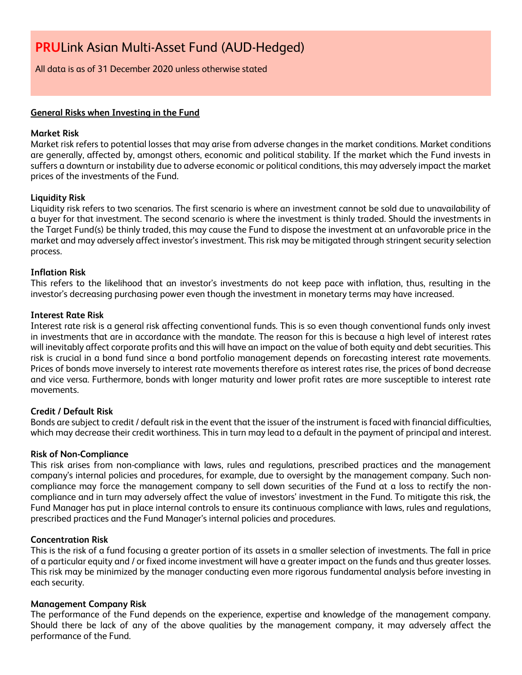All data is as of 31 December 2020 unless otherwise stated

# **General Risks when Investing in the Fund**

## **Market Risk**

Market risk refers to potential losses that may arise from adverse changes in the market conditions. Market conditions are generally, affected by, amongst others, economic and political stability. If the market which the Fund invests in suffers a downturn or instability due to adverse economic or political conditions, this may adversely impact the market prices of the investments of the Fund.

## **Liquidity Risk**

Liquidity risk refers to two scenarios. The first scenario is where an investment cannot be sold due to unavailability of a buyer for that investment. The second scenario is where the investment is thinly traded. Should the investments in the Target Fund(s) be thinly traded, this may cause the Fund to dispose the investment at an unfavorable price in the market and may adversely affect investor's investment. This risk may be mitigated through stringent security selection process.

# **Inflation Risk**

This refers to the likelihood that an investor's investments do not keep pace with inflation, thus, resulting in the investor's decreasing purchasing power even though the investment in monetary terms may have increased.

## **Interest Rate Risk**

Interest rate risk is a general risk affecting conventional funds. This is so even though conventional funds only invest in investments that are in accordance with the mandate. The reason for this is because a high level of interest rates will inevitably affect corporate profits and this will have an impact on the value of both equity and debt securities. This risk is crucial in a bond fund since a bond portfolio management depends on forecasting interest rate movements. Prices of bonds move inversely to interest rate movements therefore as interest rates rise, the prices of bond decrease and vice versa. Furthermore, bonds with longer maturity and lower profit rates are more susceptible to interest rate movements.

## **Credit / Default Risk**

Bonds are subject to credit / default risk in the event that the issuer of the instrument is faced with financial difficulties, which may decrease their credit worthiness. This in turn may lead to a default in the payment of principal and interest.

## **Risk of Non-Compliance**

This risk arises from non-compliance with laws, rules and regulations, prescribed practices and the management company's internal policies and procedures, for example, due to oversight by the management company. Such noncompliance may force the management company to sell down securities of the Fund at a loss to rectify the noncompliance and in turn may adversely affect the value of investors' investment in the Fund. To mitigate this risk, the Fund Manager has put in place internal controls to ensure its continuous compliance with laws, rules and regulations, prescribed practices and the Fund Manager's internal policies and procedures.

## **Concentration Risk**

This is the risk of a fund focusing a greater portion of its assets in a smaller selection of investments. The fall in price of a particular equity and / or fixed income investment will have a greater impact on the funds and thus greater losses. This risk may be minimized by the manager conducting even more rigorous fundamental analysis before investing in each security.

## **Management Company Risk**

The performance of the Fund depends on the experience, expertise and knowledge of the management company. Should there be lack of any of the above qualities by the management company, it may adversely affect the performance of the Fund.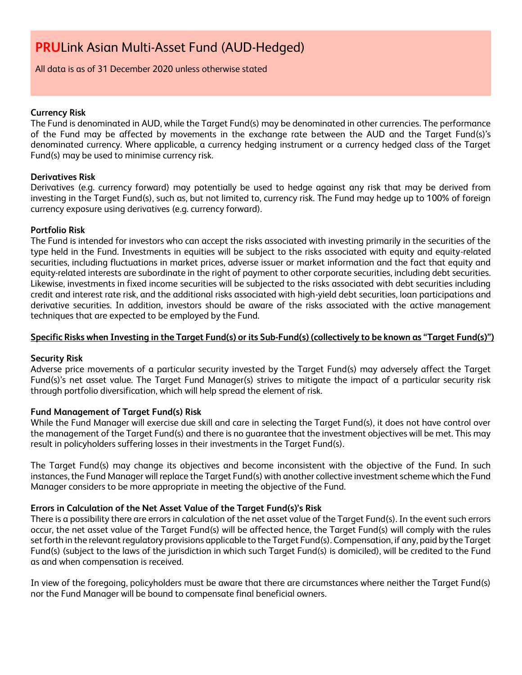All data is as of 31 December 2020 unless otherwise stated

## **Currency Risk**

The Fund is denominated in AUD, while the Target Fund(s) may be denominated in other currencies. The performance of the Fund may be affected by movements in the exchange rate between the AUD and the Target Fund(s)'s denominated currency. Where applicable, a currency hedging instrument or a currency hedged class of the Target Fund(s) may be used to minimise currency risk.

# **Derivatives Risk**

Derivatives (e.g. currency forward) may potentially be used to hedge against any risk that may be derived from investing in the Target Fund(s), such as, but not limited to, currency risk. The Fund may hedge up to 100% of foreign currency exposure using derivatives (e.g. currency forward).

# **Portfolio Risk**

The Fund is intended for investors who can accept the risks associated with investing primarily in the securities of the type held in the Fund. Investments in equities will be subject to the risks associated with equity and equity-related securities, including fluctuations in market prices, adverse issuer or market information and the fact that equity and equity-related interests are subordinate in the right of payment to other corporate securities, including debt securities. Likewise, investments in fixed income securities will be subjected to the risks associated with debt securities including credit and interest rate risk, and the additional risks associated with high-yield debt securities, loan participations and derivative securities. In addition, investors should be aware of the risks associated with the active management techniques that are expected to be employed by the Fund.

# **Specific Risks when Investing in the Target Fund(s) or its Sub-Fund(s) (collectively to be known as "Target Fund(s)")**

# **Security Risk**

Adverse price movements of a particular security invested by the Target Fund(s) may adversely affect the Target Fund(s)'s net asset value. The Target Fund Manager(s) strives to mitigate the impact of a particular security risk through portfolio diversification, which will help spread the element of risk.

# **Fund Management of Target Fund(s) Risk**

While the Fund Manager will exercise due skill and care in selecting the Target Fund(s), it does not have control over the management of the Target Fund(s) and there is no guarantee that the investment objectives will be met. This may result in policyholders suffering losses in their investments in the Target Fund(s).

The Target Fund(s) may change its objectives and become inconsistent with the objective of the Fund. In such instances, the Fund Manager will replace the Target Fund(s) with another collective investment scheme which the Fund Manager considers to be more appropriate in meeting the objective of the Fund.

# **Errors in Calculation of the Net Asset Value of the Target Fund(s)'s Risk**

There is a possibility there are errors in calculation of the net asset value of the Target Fund(s). In the event such errors occur, the net asset value of the Target Fund(s) will be affected hence, the Target Fund(s) will comply with the rules set forth in the relevant regulatory provisions applicable to the Target Fund(s). Compensation, if any, paid by the Target Fund(s) (subject to the laws of the jurisdiction in which such Target Fund(s) is domiciled), will be credited to the Fund as and when compensation is received.

In view of the foregoing, policyholders must be aware that there are circumstances where neither the Target Fund(s) nor the Fund Manager will be bound to compensate final beneficial owners.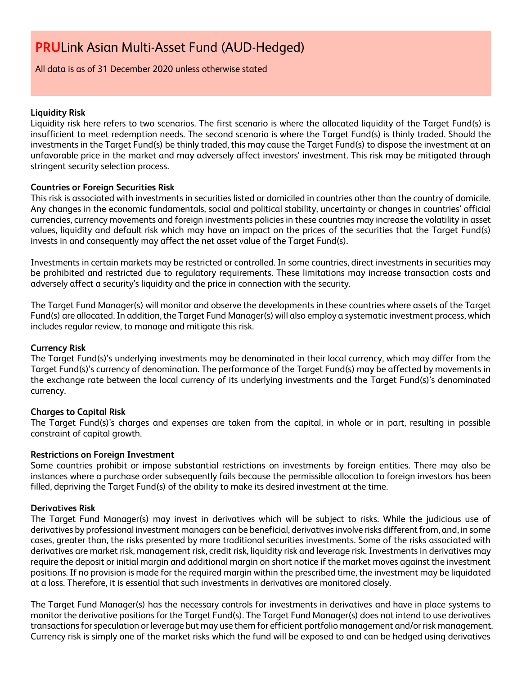## All data is as of 31 December 2020 unless otherwise stated

## **Liquidity Risk**

Liquidity risk here refers to two scenarios. The first scenario is where the allocated liquidity of the Target Fund(s) is insufficient to meet redemption needs. The second scenario is where the Target Fund(s) is thinly traded. Should the investments in the Target Fund(s) be thinly traded, this may cause the Target Fund(s) to dispose the investment at an unfavorable price in the market and may adversely affect investors' investment. This risk may be mitigated through stringent security selection process.

## **Countries or Foreign Securities Risk**

This risk is associated with investments in securities listed or domiciled in countries other than the country of domicile. Any changes in the economic fundamentals, social and political stability, uncertainty or changes in countries' official currencies, currency movements and foreign investments policies in these countries may increase the volatility in asset values, liquidity and default risk which may have an impact on the prices of the securities that the Target Fund(s) invests in and consequently may affect the net asset value of the Target Fund(s).

Investments in certain markets may be restricted or controlled. In some countries, direct investments in securities may be prohibited and restricted due to regulatory requirements. These limitations may increase transaction costs and adversely affect a security's liquidity and the price in connection with the security.

The Target Fund Manager(s) will monitor and observe the developments in these countries where assets of the Target Fund(s) are allocated. In addition, the Target Fund Manager(s) will also employ a systematic investment process, which includes regular review, to manage and mitigate this risk.

#### **Currency Risk**

The Target Fund(s)'s underlying investments may be denominated in their local currency, which may differ from the Target Fund(s)'s currency of denomination. The performance of the Target Fund(s) may be affected by movements in the exchange rate between the local currency of its underlying investments and the Target Fund(s)'s denominated currency.

## **Charges to Capital Risk**

The Target Fund(s)'s charges and expenses are taken from the capital, in whole or in part, resulting in possible constraint of capital growth.

# **Restrictions on Foreign Investment**

Some countries prohibit or impose substantial restrictions on investments by foreign entities. There may also be instances where a purchase order subsequently fails because the permissible allocation to foreign investors has been filled, depriving the Target Fund(s) of the ability to make its desired investment at the time.

#### **Derivatives Risk**

The Target Fund Manager(s) may invest in derivatives which will be subject to risks. While the judicious use of derivatives by professional investment managers can be beneficial, derivatives involve risks different from, and, in some cases, greater than, the risks presented by more traditional securities investments. Some of the risks associated with derivatives are market risk, management risk, credit risk, liquidity risk and leverage risk. Investments in derivatives may require the deposit or initial margin and additional margin on short notice if the market moves against the investment positions. If no provision is made for the required margin within the prescribed time, the investment may be liquidated at a loss. Therefore, it is essential that such investments in derivatives are monitored closely.

The Target Fund Manager(s) has the necessary controls for investments in derivatives and have in place systems to monitor the derivative positions for the Target Fund(s). The Target Fund Manager(s) does not intend to use derivatives transactions for speculation or leverage but may use them for efficient portfolio management and/or risk management. Currency risk is simply one of the market risks which the fund will be exposed to and can be hedged using derivatives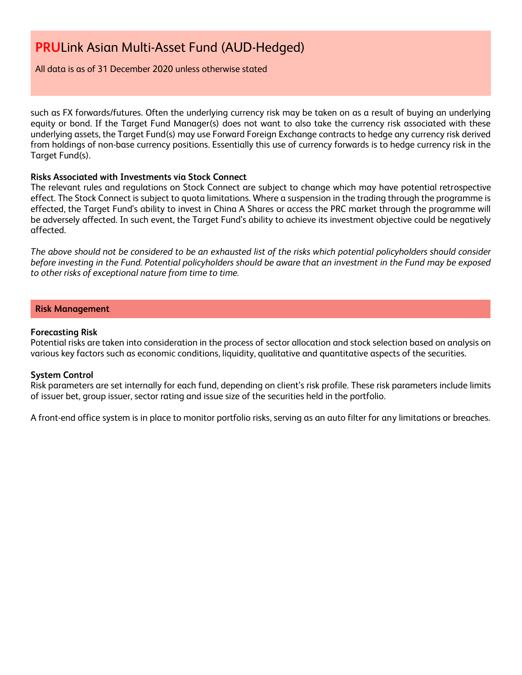All data is as of 31 December 2020 unless otherwise stated

such as FX forwards/futures. Often the underlying currency risk may be taken on as a result of buying an underlying equity or bond. If the Target Fund Manager(s) does not want to also take the currency risk associated with these underlying assets, the Target Fund(s) may use Forward Foreign Exchange contracts to hedge any currency risk derived from holdings of non-base currency positions. Essentially this use of currency forwards is to hedge currency risk in the Target Fund(s).

## **Risks Associated with Investments via Stock Connect**

The relevant rules and regulations on Stock Connect are subject to change which may have potential retrospective effect. The Stock Connect is subject to quota limitations. Where a suspension in the trading through the programme is effected, the Target Fund's ability to invest in China A Shares or access the PRC market through the programme will be adversely affected. In such event, the Target Fund's ability to achieve its investment objective could be negatively affected.

*The above should not be considered to be an exhausted list of the risks which potential policyholders should consider before investing in the Fund. Potential policyholders should be aware that an investment in the Fund may be exposed to other risks of exceptional nature from time to time.*

# **Risk Management**

## **Forecasting Risk**

Potential risks are taken into consideration in the process of sector allocation and stock selection based on analysis on various key factors such as economic conditions, liquidity, qualitative and quantitative aspects of the securities.

## **System Control**

Risk parameters are set internally for each fund, depending on client's risk profile. These risk parameters include limits of issuer bet, group issuer, sector rating and issue size of the securities held in the portfolio.

A front-end office system is in place to monitor portfolio risks, serving as an auto filter for any limitations or breaches.